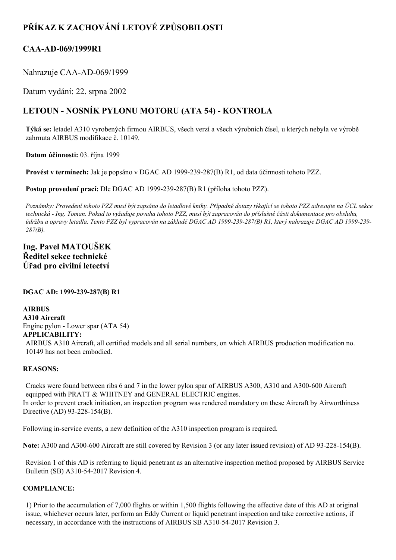# **PŘÍKAZ K ZACHOVÁNÍ LETOVÉ ZPŮSOBILOSTI**

## **CAA-AD-069/1999R1**

Nahrazuje CAA-AD-069/1999

Datum vydání: 22. srpna 2002

# **LETOUN NOSNÍK PYLONU MOTORU (ATA 54) KONTROLA**

**Týká se:** letadel A310 vyrobených firmou AIRBUS, všech verzí a všech výrobních čísel, u kterých nebyla ve výrobě zahrnuta AIRBUS modifikace č. 10149.

**Datum účinnosti:** 03. října 1999

**Provést v termínech:** Jak je popsáno v DGAC AD 1999239287(B) R1, od data účinnosti tohoto PZZ.

**Postup provedení prací:** Dle DGAC AD 1999-239-287(B) R1 (příloha tohoto PZZ).

Poznámky: Provedení tohoto PZZ musí být zapsáno do letadlové knihy. Případné dotazy týkající se tohoto PZZ adresujte na ÚCL sekce technická - Ing. Toman. Pokud to vyžaduje povaha tohoto PZZ, musí být zapracován do příslušné části dokumentace pro obsluhu, údržbu a opravy letadla. Tento PZZ byl vypracován na základě DGAC AD 1999-239-287(B) R1, který nahrazuje DGAC AD 1999-239-*287(B).*

## **Ing. Pavel MATOUŠEK Ředitel sekce technické Úřad pro civilní letectví**

## **DGAC AD: 1999239287(B) R1**

**AIRBUS A310 Aircraft** Engine pylon - Lower spar (ATA 54)

# **APPLICABILITY:**

AIRBUS A310 Aircraft, all certified models and all serial numbers, on which AIRBUS production modification no. 10149 has not been embodied.

#### **REASONS:**

Cracks were found between ribs 6 and 7 in the lower pylon spar of AIRBUS A300, A310 and A300-600 Aircraft equipped with PRATT & WHITNEY and GENERAL ELECTRIC engines. In order to prevent crack initiation, an inspection program was rendered mandatory on these Aircraft by Airworthiness Directive (AD) 93-228-154(B).

Following in-service events, a new definition of the A310 inspection program is required.

**Note:** A300 and A300-600 Aircraft are still covered by Revision 3 (or any later issued revision) of AD 93-228-154(B).

Revision 1 of this AD is referring to liquid penetrant as an alternative inspection method proposed by AIRBUS Service Bulletin (SB) A310-54-2017 Revision 4.

## **COMPLIANCE:**

1) Prior to the accumulation of 7,000 flights or within 1,500 flights following the effective date of this AD at original issue, whichever occurs later, perform an Eddy Current or liquid penetrant inspection and take corrective actions, if necessary, in accordance with the instructions of AIRBUS SB A310-54-2017 Revision 3.